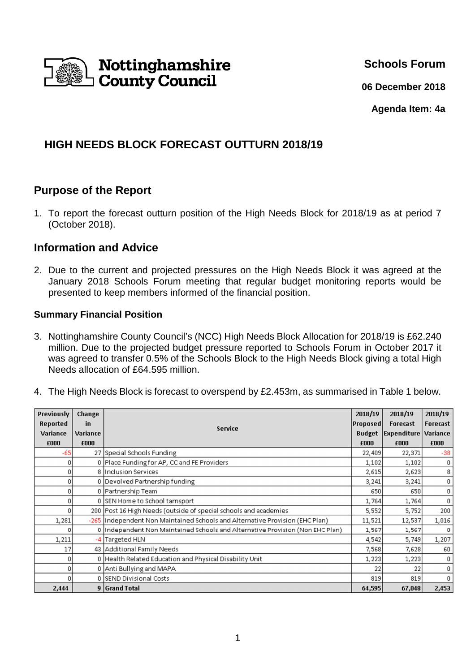

**Schools Forum**

**06 December 2018**

**Agenda Item: 4a**

# **HIGH NEEDS BLOCK FORECAST OUTTURN 2018/19**

# **Purpose of the Report**

1. To report the forecast outturn position of the High Needs Block for 2018/19 as at period 7 (October 2018).

## **Information and Advice**

2. Due to the current and projected pressures on the High Needs Block it was agreed at the January 2018 Schools Forum meeting that regular budget monitoring reports would be presented to keep members informed of the financial position.

### **Summary Financial Position**

- 3. Nottinghamshire County Council's (NCC) High Needs Block Allocation for 2018/19 is £62.240 million. Due to the projected budget pressure reported to Schools Forum in October 2017 it was agreed to transfer 0.5% of the Schools Block to the High Needs Block giving a total High Needs allocation of £64.595 million.
- 4. The High Needs Block is forecast to overspend by £2.453m, as summarised in Table 1 below.

| Previously | Change   | Service                                                                        | 2018/19         | 2018/19                   | 2018/19  |
|------------|----------|--------------------------------------------------------------------------------|-----------------|---------------------------|----------|
| Reported   | in       |                                                                                | <b>Proposed</b> | Forecast                  | Forecast |
| Variance   | Variance |                                                                                |                 | <b>Budget Expenditure</b> | Variance |
| £000       | £000     |                                                                                | £000            | £000                      | £000     |
| -651       |          | 27 Special Schools Funding                                                     | 22,409          | 22,371                    | $-38$    |
|            |          | 0 Place Funding for AP, CC and FE Providers                                    | 1,102           | 1,102                     | 0        |
| Ū.         |          | 8 Inclusion Services                                                           | 2,615           | 2,623                     | 8        |
| 0          |          | 0 Devolved Partnership funding                                                 | 3,241           | 3,241                     | 0        |
| 0          |          | 0 Partnership Team                                                             | 650             | 650                       | 0        |
| 0          |          | 0 SEN Home to School tarnsport                                                 | 1,764           | 1,764                     | 0        |
|            |          | 200 Post 16 High Needs (outside of special schools and academies               | 5,552           | 5,752                     | 200      |
| 1,281      |          | -265  Independent Non Maintained Schools and Alternative Provision (EHC Plan)  | 11,521          | 12,537                    | 1,016    |
|            |          | 0  Independent Non Maintained Schools and Alternative Provision (Non EHC Plan) | 1,567           | 1,567                     | n        |
| 1,211      |          | -4 Targeted HLN                                                                | 4,542           | 5,749                     | 1,207    |
| 17         |          | 43 Additional Family Needs                                                     | 7,568           | 7,628                     | 60       |
|            |          | 0 Health Related Education and Physical Disability Unit                        | 1,223           | 1,223                     | 0        |
| n.         |          | 0 Anti Bullying and MAPA                                                       | 22              | 22                        | 0        |
|            |          | 0 SEND Divisional Costs                                                        | 819             | 819                       | 0        |
| 2,444      |          | 9 Grand Total                                                                  | 64,595          | 67,048                    | 2,453    |